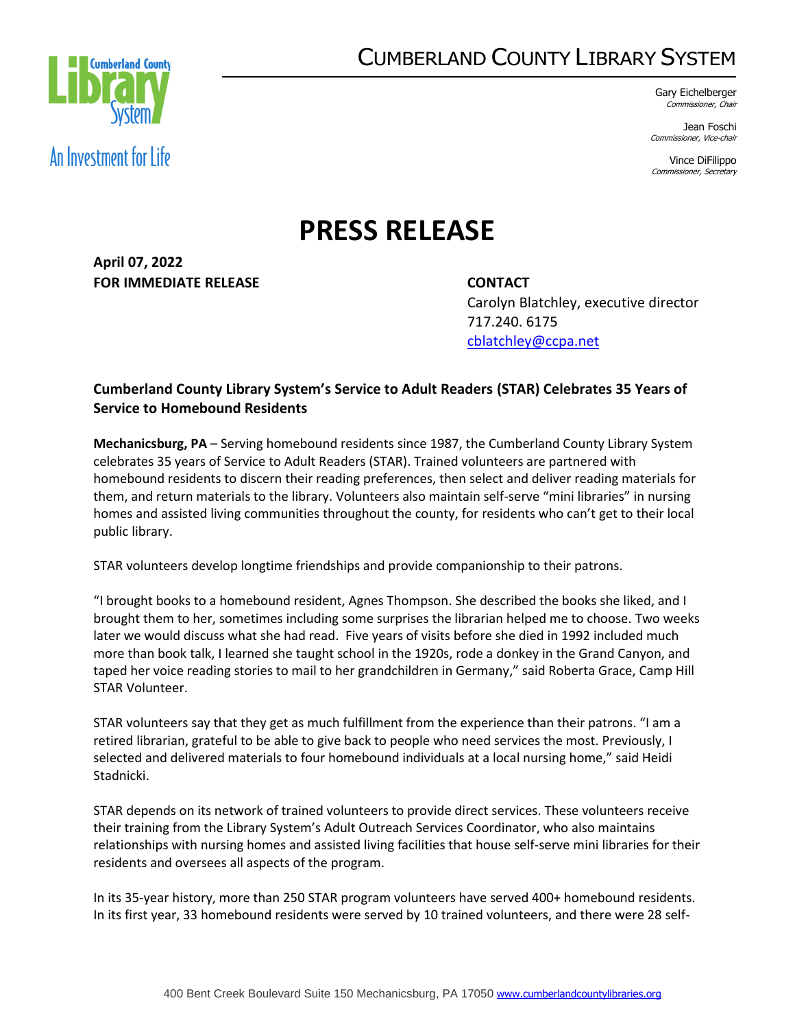## CUMBERLAND COUNTY LIBRARY SYSTEM



Gary Eichelberger Commissioner, Chair

Jean Foschi Commissioner, Vice-chair

Vince DiFilippo Commissioner, Secretary

## **PRESS RELEASE**

**April 07, 2022 FOR IMMEDIATE RELEASE CONTACT**

Carolyn Blatchley, executive director 717.240. 6175 [cblatchley@ccpa.net](mailto:cblatchley@ccpa.net)

## **Cumberland County Library System's Service to Adult Readers (STAR) Celebrates 35 Years of Service to Homebound Residents**

**Mechanicsburg, PA** – Serving homebound residents since 1987, the Cumberland County Library System celebrates 35 years of Service to Adult Readers (STAR). Trained volunteers are partnered with homebound residents to discern their reading preferences, then select and deliver reading materials for them, and return materials to the library. Volunteers also maintain self-serve "mini libraries" in nursing homes and assisted living communities throughout the county, for residents who can't get to their local public library.

STAR volunteers develop longtime friendships and provide companionship to their patrons.

"I brought books to a homebound resident, Agnes Thompson. She described the books she liked, and I brought them to her, sometimes including some surprises the librarian helped me to choose. Two weeks later we would discuss what she had read. Five years of visits before she died in 1992 included much more than book talk, I learned she taught school in the 1920s, rode a donkey in the Grand Canyon, and taped her voice reading stories to mail to her grandchildren in Germany," said Roberta Grace, Camp Hill STAR Volunteer.

STAR volunteers say that they get as much fulfillment from the experience than their patrons. "I am a retired librarian, grateful to be able to give back to people who need services the most. Previously, I selected and delivered materials to four homebound individuals at a local nursing home," said Heidi Stadnicki.

STAR depends on its network of trained volunteers to provide direct services. These volunteers receive their training from the Library System's Adult Outreach Services Coordinator, who also maintains relationships with nursing homes and assisted living facilities that house self-serve mini libraries for their residents and oversees all aspects of the program.

In its 35-year history, more than 250 STAR program volunteers have served 400+ homebound residents. In its first year, 33 homebound residents were served by 10 trained volunteers, and there were 28 self